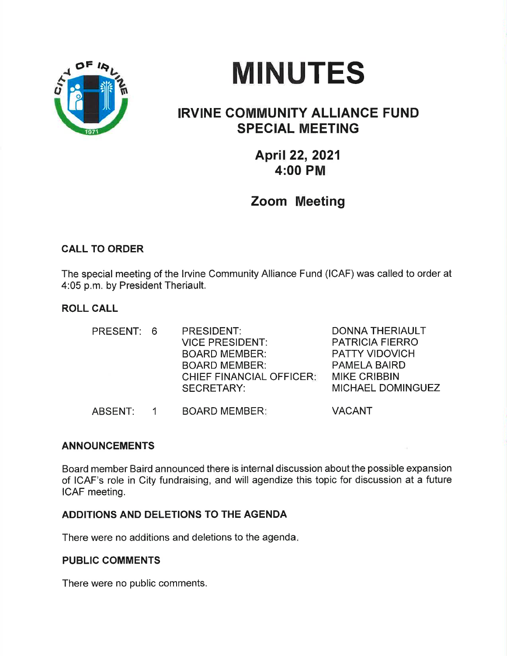



# IRVINE COMMUNITY ALLIANCE FUND SPECIAL MEETING

April 22,2021 4:00 PM

Zoom Meeting

# CALL TO ORDER

The special meeting of the lrvine Community Alliance Fund (ICAF) was called to order at 4:05 p.m. by President Theriault.

# ROLL CALL

| PRESENT: 6 | PRESIDENT:<br><b>VICE PRESIDENT:</b><br><b>BOARD MEMBER:</b><br><b>BOARD MEMBER:</b><br><b>CHIEF FINANCIAL OFFICER:</b><br><b>SECRETARY:</b> | <b>DONNA THERIAULT</b><br><b>PATRICIA FIERRO</b><br><b>PATTY VIDOVICH</b><br><b>PAMELA BAIRD</b><br><b>MIKE CRIBBIN</b><br>MICHAEL DOMINGUEZ |
|------------|----------------------------------------------------------------------------------------------------------------------------------------------|----------------------------------------------------------------------------------------------------------------------------------------------|
| ABSENT:    | <b>BOARD MEMBER:</b>                                                                                                                         | <b>VACANT</b>                                                                                                                                |

## ANNOUNCEMENTS

Board member Baird announced there is internal discussion about the possible expansion of ICAF's role in City fundraising, and will agendize this topic for discussion at a future ICAF meeting.

## ADDITIONS AND DELETIONS TO THE AGENDA

There were no additions and deletions to the agenda

## PUBLIC COMMENTS

There were no public comments.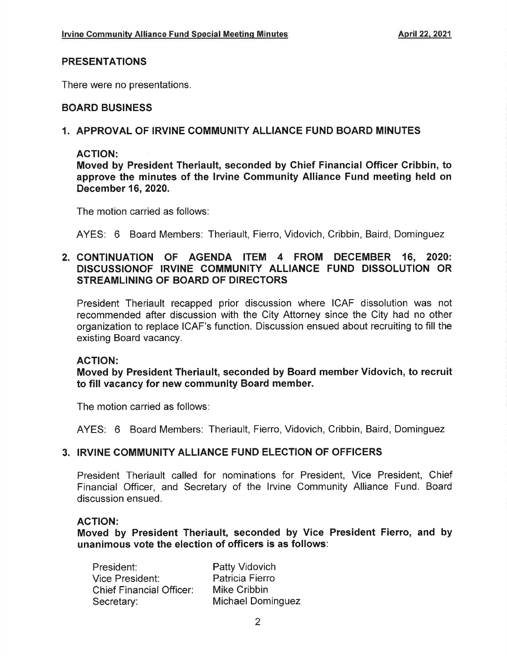#### PRESENTATIONS

There were no presentations.

#### BOARD BUSINESS

#### 1. APPROVAL OF IRVINE COMMUNITY ALLIANCE FUND BOARD MINUTES

#### ACTION:

Moved by President Theriault, seconded by Ghief Financial Officer Cribbin, to approve the minutes of the lrvine Gommunity Alliance Fund meeting held on December 16,2020.

The motion carried as follows:

AYES: 6 Board Members: Theriault, Fierro, Vidovich, Cribbin, Baird, Dominguez

## 2. CONTINUATION OF AGENDA ITEM 4 FROM DECEMBER 16, 2020: DISCUSSIONOF IRVINE COMMUNITY ALLIANCE FUND DISSOLUTION OR STREAMLINING OF BOARD OF DIRECTORS

President Theriault recapped prior discussion where ICAF dissolution was not recommended after discussion with the City Attorney since the City had no other organization to replace ICAF's function. Discussion ensued about recruiting to fill the existing Board vacancy.

#### ACTION:

Moved by President Theriault, seconded by Board member Vidovich, to recruit to fill vacancy for new community Board member.

The motion carried as follows

AYES: 6 Board Members: Theriault, Fierro, Vidovich, Cribbin, Baird, Dominguez

## 3. IRVINE COMMUNITY ALLIANCE FUND ELECTION OF OFFICERS

President Theriault called for nominations for President, Vice President, Chief Financial Officer, and Secretary of the lrvine Community Alliance Fund. Board discussion ensued.

#### AGTION:

Moved by President Theriault, seconded by Vice President Fierro, and by unanimous vote the election of officers is as follows:

| President:                      | Patty Vidovich    |
|---------------------------------|-------------------|
| Vice President:                 | Patricia Fierro   |
| <b>Chief Financial Officer:</b> | Mike Cribbin      |
| Secretary:                      | Michael Dominguez |